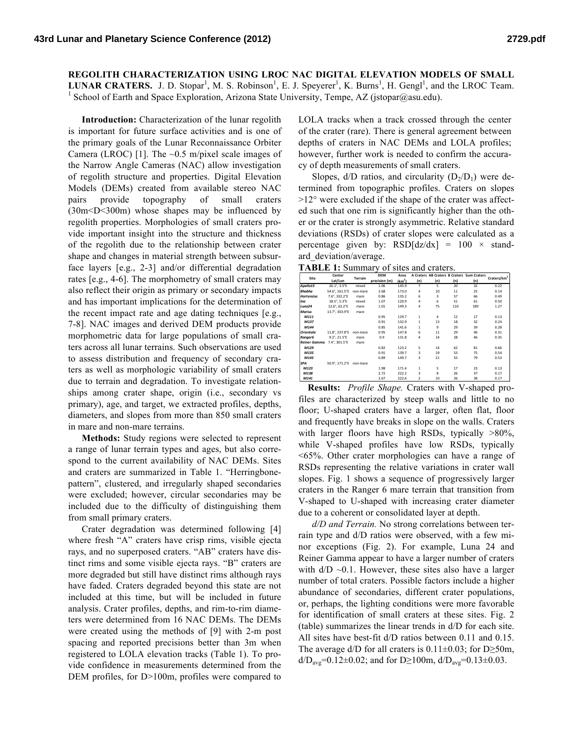**REGOLITH CHARACTERIZATION USING LROC NAC DIGITAL ELEVATION MODELS OF SMALL**  LUNAR CRATERS. J. D. Stopar<sup>1</sup>, M. S. Robinson<sup>1</sup>, E. J. Speyerer<sup>1</sup>, K. Burns<sup>1</sup>, H. Gengl<sup>1</sup>, and the LROC Team.<br><sup>1</sup> School of Earth and Space Exploration, Arizona State University, Tempe, AZ (jstopar@asu.edu).

**Introduction:** Characterization of the lunar regolith is important for future surface activities and is one of the primary goals of the Lunar Reconnaissance Orbiter Camera (LROC) [1]. The  $\sim 0.5$  m/pixel scale images of the Narrow Angle Cameras (NAC) allow investigation of regolith structure and properties. Digital Elevation Models (DEMs) created from available stereo NAC pairs provide topography of small craters (30m<D<300m) whose shapes may be influenced by regolith properties. Morphologies of small craters provide important insight into the structure and thickness of the regolith due to the relationship between crater shape and changes in material strength between subsurface layers [e.g., 2-3] and/or differential degradation rates [e.g., 4-6]. The morphometry of small craters may also reflect their origin as primary or secondary impacts and has important implications for the determination of the recent impact rate and age dating techniques [e.g., 7-8]. NAC images and derived DEM products provide morphometric data for large populations of small craters across all lunar terrains. Such observations are used to assess distribution and frequency of secondary craters as well as morphologic variability of small craters due to terrain and degradation. To investigate relationships among crater shape, origin (i.e., secondary vs primary), age, and target, we extracted profiles, depths, diameters, and slopes from more than 850 small craters in mare and non-mare terrains.

**Methods:** Study regions were selected to represent a range of lunar terrain types and ages, but also correspond to the current availability of NAC DEMs. Sites and craters are summarized in Table 1. "Herringbonepattern", clustered, and irregularly shaped secondaries were excluded; however, circular secondaries may be included due to the difficulty of distinguishing them from small primary craters.

Crater degradation was determined following [4] where fresh "A" craters have crisp rims, visible ejecta rays, and no superposed craters. "AB" craters have distinct rims and some visible ejecta rays. "B" craters are more degraded but still have distinct rims although rays have faded. Craters degraded beyond this state are not included at this time, but will be included in future analysis. Crater profiles, depths, and rim-to-rim diameters were determined from 16 NAC DEMs. The DEMs were created using the methods of [9] with 2-m post spacing and reported precisions better than 3m when registered to LOLA elevation tracks (Table 1). To provide confidence in measurements determined from the DEM profiles, for D>100m, profiles were compared to LOLA tracks when a track crossed through the center of the crater (rare). There is general agreement between depths of craters in NAC DEMs and LOLA profiles; however, further work is needed to confirm the accuracy of depth measurements of small craters.

Slopes,  $d/D$  ratios, and circularity  $(D_2/D_1)$  were determined from topographic profiles. Craters on slopes  $>12^{\circ}$  were excluded if the shape of the crater was affected such that one rim is significantly higher than the other or the crater is strongly asymmetric. Relative standard deviations (RSDs) of crater slopes were calculated as a percentage given by:  $RSD[dz/dx] = 100 \times stand$ ard\_deviation/average.

**TABLE 1:** Summary of sites and craters.

| Site                | Center<br>Lat/Lon | <b>Terrain</b> | <b>DEM</b>    | Area               |                |     |     | A Craters AB Craters B Craters Sum Craters |                         |
|---------------------|-------------------|----------------|---------------|--------------------|----------------|-----|-----|--------------------------------------------|-------------------------|
|                     |                   |                | precision (m) | (km <sup>2</sup> ) | (n)            | (n) | (n) | (n)                                        | Craters/km <sup>2</sup> |
| Apollo15            | 26.1", 3.5"E      | mixed          | 1.06          | 145.9              | 7              | 5   | 20  | 32                                         | 0.22                    |
| <b>Bhabha</b>       | 54.6°, 161.5°E    | non-mare       | 2.68          | 173.0              | 4              | 10  | 11  | 25                                         | 0.14                    |
| <b>Hortensius</b>   | 7.6°, 332.2°E     | mare           | 0.86          | 135.2              | 6              | 3   | 57  | 66                                         | 0.49                    |
| Ina                 | 18.5°, 5.3°E      | mixed          | 1.07          | 120.9              | $\overline{a}$ | 6   | 51  | 61                                         | 0.50                    |
| Luna <sub>24</sub>  | 12.6°, 62.2°E     | mare           | 1.01          | 149.3              | 4              | 75  | 110 | 189                                        | 1.27                    |
| <b>Marius</b>       | 13.7°, 303.9°E    | mare           |               |                    |                |     |     |                                            |                         |
| M111                |                   |                | 0.95          | 129.7              | $\mathbf{1}$   | 4   | 12  | 17                                         | 0.13                    |
| M137                |                   |                | 0.91          | 132.9              | $\mathbf{1}$   | 13  | 18  | 32                                         | 0.24                    |
| M144                |                   |                | 0.85          | 141.6              | $\mathbf{1}$   | 9   | 29  | 39                                         | 0.28                    |
| <b>Orientale</b>    | 11.8°, 237.8°E    | non-mare       | 0.95          | 147.8              | 6              | 11  | 29  | 46                                         | 0.31                    |
| Ranger6             | 9.2°, 21.5°E      | mare           | 0.9           | 131.8              | 4              | 14  | 28  | 46                                         | 0.35                    |
| <b>Reiner Gamma</b> | 7.4°, 301.5°E     | mare           |               |                    |                |     |     |                                            |                         |
| M129                |                   |                | 0.82          | 123.2              | 5              | 14  | 62  | 81                                         | 0.66                    |
| M135                |                   |                | 0.91          | 139.7              | 3              | 19  | 53  | 75                                         | 0.54                    |
| M145                |                   |                | 0.89          | 149.7              | 3              | 21  | 55  | 79                                         | 0.53                    |
| <b>SPA</b>          | 50.9°, 171.2°E    | non-mare       |               |                    |                |     |     |                                            |                         |
| M123                |                   |                | 1.98          | 171.4              | 1              | 5   | 17  | 23                                         | 0.13                    |
| M138                |                   |                | 2.72          | 222.2              | 3              | 8   | 26  | 37                                         | 0.17                    |
| M141                |                   |                | 2.67          | 222.6              | $\overline{2}$ | 10  | 26  | 38                                         | 0.17                    |

**Results:** *Profile Shape.* Craters with V-shaped profiles are characterized by steep walls and little to no floor; U-shaped craters have a larger, often flat, floor and frequently have breaks in slope on the walls. Craters with larger floors have high RSDs, typically  $>80\%$ , while V-shaped profiles have low RSDs, typically <65%. Other crater morphologies can have a range of RSDs representing the relative variations in crater wall slopes. Fig. 1 shows a sequence of progressively larger craters in the Ranger 6 mare terrain that transition from V-shaped to U-shaped with increasing crater diameter due to a coherent or consolidated layer at depth.

*d/D and Terrain.* No strong correlations between terrain type and d/D ratios were observed, with a few minor exceptions (Fig. 2). For example, Luna 24 and Reiner Gamma appear to have a larger number of craters with  $d/D \sim 0.1$ . However, these sites also have a larger number of total craters. Possible factors include a higher abundance of secondaries, different crater populations, or, perhaps, the lighting conditions were more favorable for identification of small craters at these sites. Fig. 2 (table) summarizes the linear trends in d/D for each site. All sites have best-fit d/D ratios between 0.11 and 0.15. The average d/D for all craters is  $0.11\pm0.03$ ; for D≥50m, d/D<sub>avg</sub>=0.12±0.02; and for D≥100m, d/D<sub>avg</sub>=0.13±0.03.